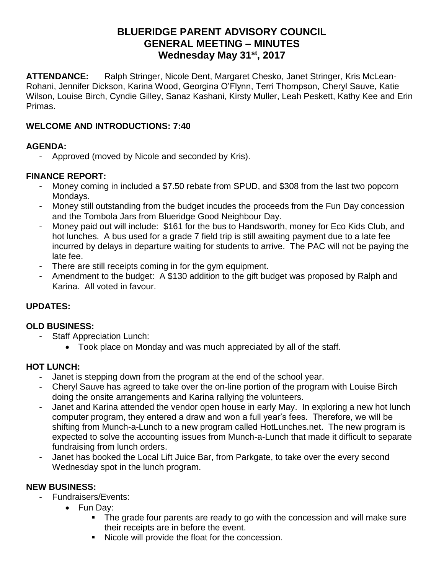# **BLUERIDGE PARENT ADVISORY COUNCIL GENERAL MEETING – MINUTES Wednesday May 31st, 2017**

**ATTENDANCE:** Ralph Stringer, Nicole Dent, Margaret Chesko, Janet Stringer, Kris McLean-Rohani, Jennifer Dickson, Karina Wood, Georgina O'Flynn, Terri Thompson, Cheryl Sauve, Katie Wilson, Louise Birch, Cyndie Gilley, Sanaz Kashani, Kirsty Muller, Leah Peskett, Kathy Kee and Erin Primas.

#### **WELCOME AND INTRODUCTIONS: 7:40**

### **AGENDA:**

Approved (moved by Nicole and seconded by Kris).

### **FINANCE REPORT:**

- Money coming in included a \$7.50 rebate from SPUD, and \$308 from the last two popcorn Mondays.
- Money still outstanding from the budget incudes the proceeds from the Fun Day concession and the Tombola Jars from Blueridge Good Neighbour Day.
- Money paid out will include: \$161 for the bus to Handsworth, money for Eco Kids Club, and hot lunches. A bus used for a grade 7 field trip is still awaiting payment due to a late fee incurred by delays in departure waiting for students to arrive. The PAC will not be paying the late fee.
- There are still receipts coming in for the gym equipment.
- Amendment to the budget: A \$130 addition to the gift budget was proposed by Ralph and Karina. All voted in favour.

# **UPDATES:**

### **OLD BUSINESS:**

- Staff Appreciation Lunch:
	- Took place on Monday and was much appreciated by all of the staff.

### **HOT LUNCH:**

- Janet is stepping down from the program at the end of the school year.
- Cheryl Sauve has agreed to take over the on-line portion of the program with Louise Birch doing the onsite arrangements and Karina rallying the volunteers.
- Janet and Karina attended the vendor open house in early May. In exploring a new hot lunch computer program, they entered a draw and won a full year's fees. Therefore, we will be shifting from Munch-a-Lunch to a new program called HotLunches.net. The new program is expected to solve the accounting issues from Munch-a-Lunch that made it difficult to separate fundraising from lunch orders.
- Janet has booked the Local Lift Juice Bar, from Parkgate, to take over the every second Wednesday spot in the lunch program.

### **NEW BUSINESS:**

- Fundraisers/Events:
	- Fun Day:
		- The grade four parents are ready to go with the concession and will make sure their receipts are in before the event.
		- Nicole will provide the float for the concession.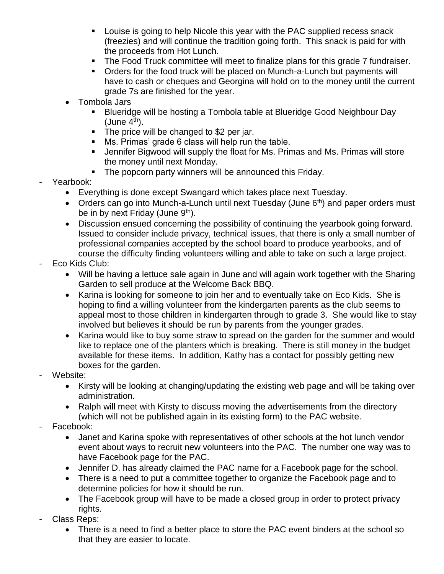- Louise is going to help Nicole this year with the PAC supplied recess snack (freezies) and will continue the tradition going forth. This snack is paid for with the proceeds from Hot Lunch.
- The Food Truck committee will meet to finalize plans for this grade 7 fundraiser.
- Orders for the food truck will be placed on Munch-a-Lunch but payments will have to cash or cheques and Georgina will hold on to the money until the current grade 7s are finished for the year.
- Tombola Jars
	- Blueridge will be hosting a Tombola table at Blueridge Good Neighbour Day  $(June 4<sup>th</sup>)$ .
	- The price will be changed to \$2 per jar.
	- Ms. Primas' grade 6 class will help run the table.
	- **E** Jennifer Bigwood will supply the float for Ms. Primas and Ms. Primas will store the money until next Monday.
	- The popcorn party winners will be announced this Friday.
- Yearbook:
	- Everything is done except Swangard which takes place next Tuesday.
	- Orders can go into Munch-a-Lunch until next Tuesday (June  $6<sup>th</sup>$ ) and paper orders must be in by next Friday (June  $9<sup>th</sup>$ ).
	- Discussion ensued concerning the possibility of continuing the yearbook going forward. Issued to consider include privacy, technical issues, that there is only a small number of professional companies accepted by the school board to produce yearbooks, and of course the difficulty finding volunteers willing and able to take on such a large project.
- Eco Kids Club:
	- Will be having a lettuce sale again in June and will again work together with the Sharing Garden to sell produce at the Welcome Back BBQ.
	- Karina is looking for someone to join her and to eventually take on Eco Kids. She is hoping to find a willing volunteer from the kindergarten parents as the club seems to appeal most to those children in kindergarten through to grade 3. She would like to stay involved but believes it should be run by parents from the younger grades.
	- Karina would like to buy some straw to spread on the garden for the summer and would like to replace one of the planters which is breaking. There is still money in the budget available for these items. In addition, Kathy has a contact for possibly getting new boxes for the garden.
- Website:
	- Kirsty will be looking at changing/updating the existing web page and will be taking over administration.
	- Ralph will meet with Kirsty to discuss moving the advertisements from the directory (which will not be published again in its existing form) to the PAC website.
- Facebook:
	- Janet and Karina spoke with representatives of other schools at the hot lunch vendor event about ways to recruit new volunteers into the PAC. The number one way was to have Facebook page for the PAC.
	- Jennifer D. has already claimed the PAC name for a Facebook page for the school.
	- There is a need to put a committee together to organize the Facebook page and to determine policies for how it should be run.
	- The Facebook group will have to be made a closed group in order to protect privacy rights.
- Class Reps:
	- There is a need to find a better place to store the PAC event binders at the school so that they are easier to locate.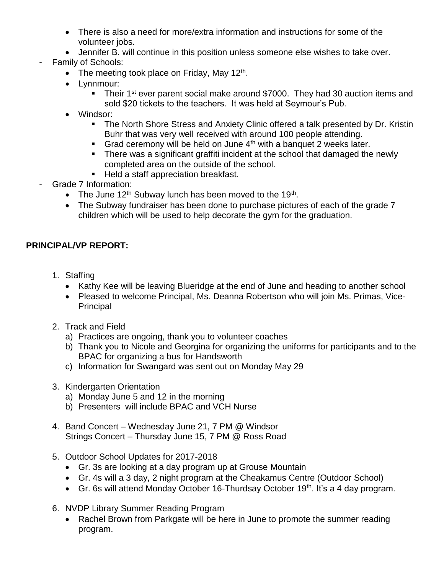- There is also a need for more/extra information and instructions for some of the volunteer jobs.
- Jennifer B. will continue in this position unless someone else wishes to take over.
- Family of Schools:
	- The meeting took place on Friday, May 12<sup>th</sup>.
	- Lynnmour:
		- Their 1<sup>st</sup> ever parent social make around \$7000. They had 30 auction items and sold \$20 tickets to the teachers. It was held at Seymour's Pub.
	- Windsor:
		- **The North Shore Stress and Anxiety Clinic offered a talk presented by Dr. Kristin** Buhr that was very well received with around 100 people attending.
		- **Grad ceremony will be held on June 4<sup>th</sup> with a banquet 2 weeks later.**
		- **There was a significant graffiti incident at the school that damaged the newly** completed area on the outside of the school.
		- Held a staff appreciation breakfast.
- Grade 7 Information:
	- The June 12<sup>th</sup> Subway lunch has been moved to the 19<sup>th</sup>.
	- The Subway fundraiser has been done to purchase pictures of each of the grade 7 children which will be used to help decorate the gym for the graduation.

#### **PRINCIPAL/VP REPORT:**

- 1. Staffing
	- Kathy Kee will be leaving Blueridge at the end of June and heading to another school
	- Pleased to welcome Principal, Ms. Deanna Robertson who will join Ms. Primas, Vice-**Principal**
- 2. Track and Field
	- a) Practices are ongoing, thank you to volunteer coaches
	- b) Thank you to Nicole and Georgina for organizing the uniforms for participants and to the BPAC for organizing a bus for Handsworth
	- c) Information for Swangard was sent out on Monday May 29
- 3. Kindergarten Orientation
	- a) Monday June 5 and 12 in the morning
	- b) Presenters will include BPAC and VCH Nurse
- 4. Band Concert Wednesday June 21, 7 PM @ Windsor Strings Concert – Thursday June 15, 7 PM @ Ross Road
- 5. Outdoor School Updates for 2017-2018
	- Gr. 3s are looking at a day program up at Grouse Mountain
	- Gr. 4s will a 3 day, 2 night program at the Cheakamus Centre (Outdoor School)
	- Gr. 6s will attend Monday October 16-Thurdsay October 19<sup>th</sup>. It's a 4 day program.
- 6. NVDP Library Summer Reading Program
	- Rachel Brown from Parkgate will be here in June to promote the summer reading program.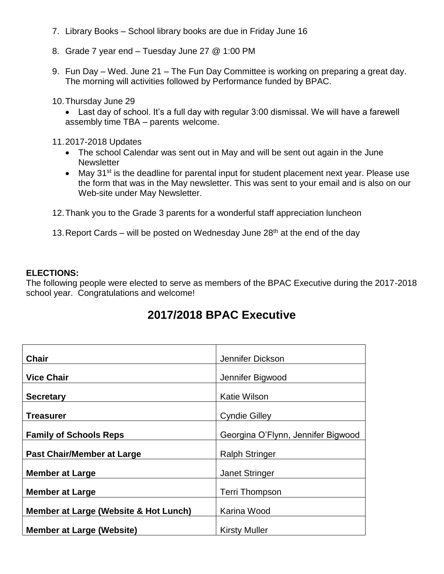- 7. Library Books School library books are due in Friday June 16
- 8. Grade 7 year end Tuesday June 27 @ 1:00 PM
- 9. Fun Day Wed. June 21 The Fun Day Committee is working on preparing a great day. The morning will activities followed by Performance funded by BPAC.
- 10.Thursday June 29

• Last day of school. It's a full day with regular 3:00 dismissal. We will have a farewell assembly time TBA – parents welcome.

- 11.2017-2018 Updates
	- The school Calendar was sent out in May and will be sent out again in the June **Newsletter**
	- May  $31^{st}$  is the deadline for parental input for student placement next year. Please use the form that was in the May newsletter. This was sent to your email and is also on our Web-site under May Newsletter.
- 12.Thank you to the Grade 3 parents for a wonderful staff appreciation luncheon
- 13. Report Cards will be posted on Wednesday June  $28<sup>th</sup>$  at the end of the day

#### **ELECTIONS:**

The following people were elected to serve as members of the BPAC Executive during the 2017-2018 school year. Congratulations and welcome!

# **2017/2018 BPAC Executive**

| <b>Chair</b>                          | Jennifer Dickson                   |
|---------------------------------------|------------------------------------|
| <b>Vice Chair</b>                     | Jennifer Bigwood                   |
| <b>Secretary</b>                      | Katie Wilson                       |
| Treasurer                             | <b>Cyndie Gilley</b>               |
| <b>Family of Schools Reps</b>         | Georgina O'Flynn, Jennifer Bigwood |
| <b>Past Chair/Member at Large</b>     | <b>Ralph Stringer</b>              |
| <b>Member at Large</b>                | <b>Janet Stringer</b>              |
| <b>Member at Large</b>                | <b>Terri Thompson</b>              |
| Member at Large (Website & Hot Lunch) | Karina Wood                        |
| <b>Member at Large (Website)</b>      | <b>Kirsty Muller</b>               |